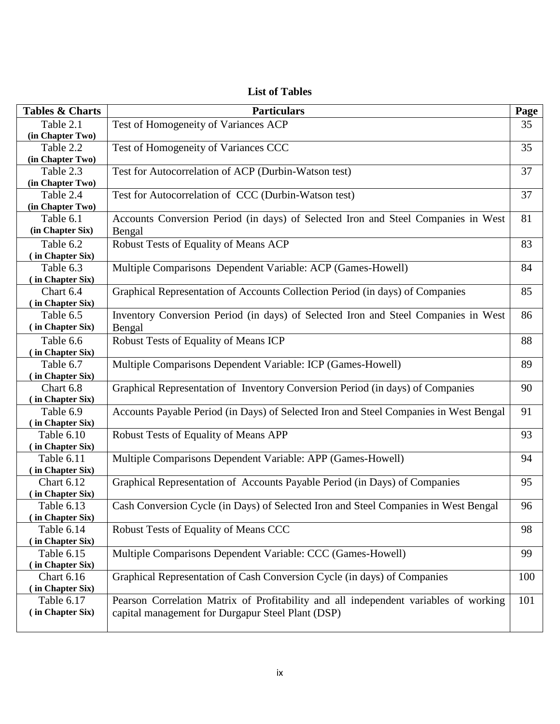## **List of Tables**

| <b>Tables &amp; Charts</b> | <b>Particulars</b>                                                                    | Page |
|----------------------------|---------------------------------------------------------------------------------------|------|
| Table 2.1                  | Test of Homogeneity of Variances ACP                                                  | 35   |
| (in Chapter Two)           |                                                                                       |      |
| Table 2.2                  | Test of Homogeneity of Variances CCC                                                  | 35   |
| (in Chapter Two)           |                                                                                       |      |
| Table 2.3                  | Test for Autocorrelation of ACP (Durbin-Watson test)                                  | 37   |
| (in Chapter Two)           |                                                                                       |      |
| Table 2.4                  | Test for Autocorrelation of CCC (Durbin-Watson test)                                  | 37   |
| (in Chapter Two)           |                                                                                       |      |
| Table 6.1                  | Accounts Conversion Period (in days) of Selected Iron and Steel Companies in West     | 81   |
| (in Chapter Six)           | Bengal                                                                                |      |
| Table 6.2                  | Robust Tests of Equality of Means ACP                                                 | 83   |
| (in Chapter Six)           |                                                                                       |      |
| Table 6.3                  | Multiple Comparisons Dependent Variable: ACP (Games-Howell)                           | 84   |
| (in Chapter Six)           |                                                                                       |      |
| Chart 6.4                  | Graphical Representation of Accounts Collection Period (in days) of Companies         | 85   |
| (in Chapter Six)           |                                                                                       |      |
| Table 6.5                  | Inventory Conversion Period (in days) of Selected Iron and Steel Companies in West    | 86   |
| (in Chapter Six)           | Bengal                                                                                |      |
| Table 6.6                  | Robust Tests of Equality of Means ICP                                                 | 88   |
| (in Chapter Six)           |                                                                                       |      |
| Table 6.7                  | Multiple Comparisons Dependent Variable: ICP (Games-Howell)                           | 89   |
| (in Chapter Six)           |                                                                                       |      |
| Chart 6.8                  | Graphical Representation of Inventory Conversion Period (in days) of Companies        | 90   |
| (in Chapter Six)           |                                                                                       |      |
| Table 6.9                  | Accounts Payable Period (in Days) of Selected Iron and Steel Companies in West Bengal | 91   |
| (in Chapter Six)           |                                                                                       |      |
| Table 6.10                 | Robust Tests of Equality of Means APP                                                 | 93   |
| (in Chapter Six)           |                                                                                       |      |
| Table 6.11                 | Multiple Comparisons Dependent Variable: APP (Games-Howell)                           | 94   |
| (in Chapter Six)           |                                                                                       |      |
| <b>Chart 6.12</b>          | Graphical Representation of Accounts Payable Period (in Days) of Companies            | 95   |
| (in Chapter Six)           |                                                                                       |      |
| Table 6.13                 | Cash Conversion Cycle (in Days) of Selected Iron and Steel Companies in West Bengal   | 96   |
| (in Chapter Six)           |                                                                                       |      |
| Table 6.14                 | Robust Tests of Equality of Means CCC                                                 | 98   |
| (in Chapter Six)           |                                                                                       |      |
| Table 6.15                 | Multiple Comparisons Dependent Variable: CCC (Games-Howell)                           | 99   |
| (in Chapter Six)           |                                                                                       |      |
| <b>Chart 6.16</b>          | Graphical Representation of Cash Conversion Cycle (in days) of Companies              | 100  |
| (in Chapter Six)           |                                                                                       |      |
| Table 6.17                 | Pearson Correlation Matrix of Profitability and all independent variables of working  | 101  |
| (in Chapter Six)           | capital management for Durgapur Steel Plant (DSP)                                     |      |
|                            |                                                                                       |      |